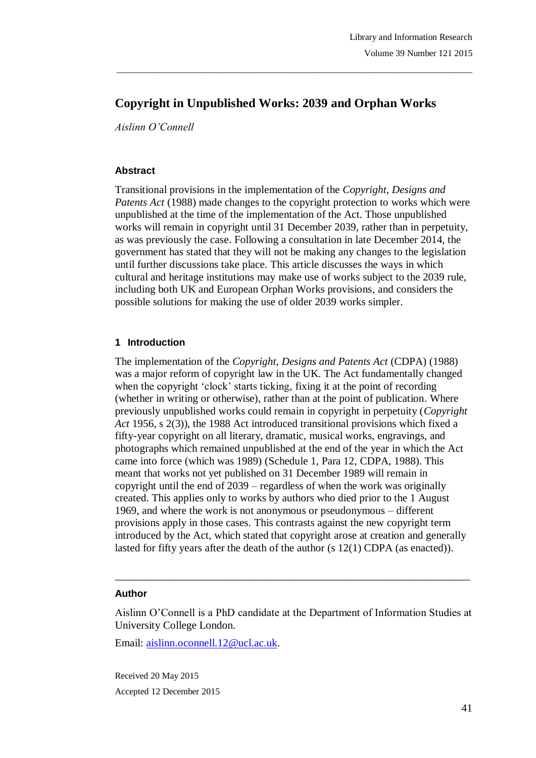# **Copyright in Unpublished Works: 2039 and Orphan Works**

\_\_\_\_\_\_\_\_\_\_\_\_\_\_\_\_\_\_\_\_\_\_\_\_\_\_\_\_\_\_\_\_\_\_\_\_\_\_\_\_\_\_\_\_\_\_\_\_\_\_\_\_\_\_\_\_\_\_\_\_\_\_\_\_\_\_\_\_\_\_\_\_\_\_\_\_\_\_\_

*Aislinn O'Connell*

#### **Abstract**

Transitional provisions in the implementation of the *Copyright, Designs and Patents Act* (1988) made changes to the copyright protection to works which were unpublished at the time of the implementation of the Act. Those unpublished works will remain in copyright until 31 December 2039, rather than in perpetuity, as was previously the case. Following a consultation in late December 2014, the government has stated that they will not be making any changes to the legislation until further discussions take place. This article discusses the ways in which cultural and heritage institutions may make use of works subject to the 2039 rule, including both UK and European Orphan Works provisions, and considers the possible solutions for making the use of older 2039 works simpler.

# **1 Introduction**

The implementation of the *Copyright, Designs and Patents Act* (CDPA) (1988) was a major reform of copyright law in the UK. The Act fundamentally changed when the copyright 'clock' starts ticking, fixing it at the point of recording (whether in writing or otherwise), rather than at the point of publication. Where previously unpublished works could remain in copyright in perpetuity (*Copyright Act* 1956, s 2(3)), the 1988 Act introduced transitional provisions which fixed a fifty-year copyright on all literary, dramatic, musical works, engravings, and photographs which remained unpublished at the end of the year in which the Act came into force (which was 1989) (Schedule 1, Para 12, CDPA, 1988). This meant that works not yet published on 31 December 1989 will remain in copyright until the end of 2039 – regardless of when the work was originally created. This applies only to works by authors who died prior to the 1 August 1969, and where the work is not anonymous or pseudonymous – different provisions apply in those cases. This contrasts against the new copyright term introduced by the Act, which stated that copyright arose at creation and generally lasted for fifty years after the death of the author (s 12(1) CDPA (as enacted)).

#### **Author**

Aislinn O"Connell is a PhD candidate at the Department of Information Studies at University College London.

\_\_\_\_\_\_\_\_\_\_\_\_\_\_\_\_\_\_\_\_\_\_\_\_\_\_\_\_\_\_\_\_\_\_\_\_\_\_\_\_\_\_\_\_\_\_\_\_\_\_\_\_\_\_\_\_\_\_\_\_\_\_\_\_\_\_\_\_\_\_\_

Email: aislinn.oconnell.12@ucl.ac.uk.

Received 20 May 2015 Accepted 12 December 2015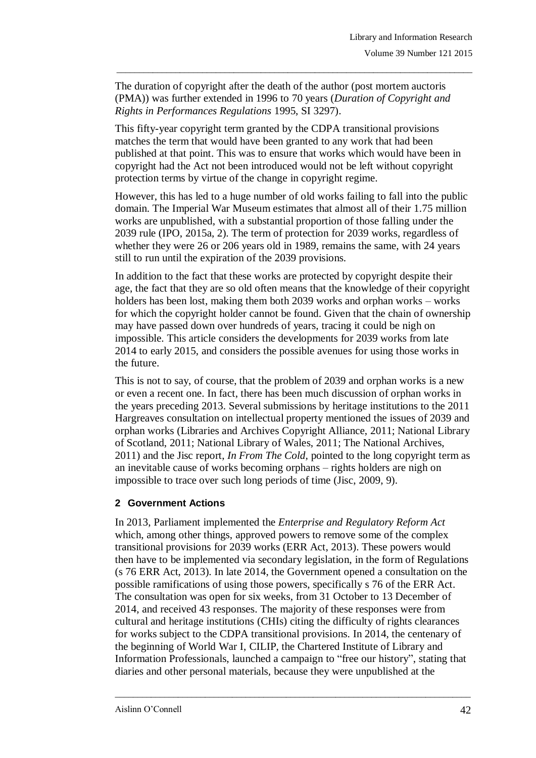The duration of copyright after the death of the author (post mortem auctoris (PMA)) was further extended in 1996 to 70 years (*Duration of Copyright and Rights in Performances Regulations* 1995, SI 3297).

\_\_\_\_\_\_\_\_\_\_\_\_\_\_\_\_\_\_\_\_\_\_\_\_\_\_\_\_\_\_\_\_\_\_\_\_\_\_\_\_\_\_\_\_\_\_\_\_\_\_\_\_\_\_\_\_\_\_\_\_\_\_\_\_\_\_\_\_\_\_\_\_\_\_\_\_\_\_\_

This fifty-year copyright term granted by the CDPA transitional provisions matches the term that would have been granted to any work that had been published at that point. This was to ensure that works which would have been in copyright had the Act not been introduced would not be left without copyright protection terms by virtue of the change in copyright regime.

However, this has led to a huge number of old works failing to fall into the public domain. The Imperial War Museum estimates that almost all of their 1.75 million works are unpublished, with a substantial proportion of those falling under the 2039 rule (IPO, 2015a, 2). The term of protection for 2039 works, regardless of whether they were 26 or 206 years old in 1989, remains the same, with 24 years still to run until the expiration of the 2039 provisions.

In addition to the fact that these works are protected by copyright despite their age, the fact that they are so old often means that the knowledge of their copyright holders has been lost, making them both 2039 works and orphan works – works for which the copyright holder cannot be found. Given that the chain of ownership may have passed down over hundreds of years, tracing it could be nigh on impossible. This article considers the developments for 2039 works from late 2014 to early 2015, and considers the possible avenues for using those works in the future.

This is not to say, of course, that the problem of 2039 and orphan works is a new or even a recent one. In fact, there has been much discussion of orphan works in the years preceding 2013. Several submissions by heritage institutions to the 2011 Hargreaves consultation on intellectual property mentioned the issues of 2039 and orphan works (Libraries and Archives Copyright Alliance, 2011; National Library of Scotland, 2011; National Library of Wales, 2011; The National Archives, 2011) and the Jisc report, *In From The Cold,* pointed to the long copyright term as an inevitable cause of works becoming orphans – rights holders are nigh on impossible to trace over such long periods of time (Jisc, 2009, 9).

# **2 Government Actions**

In 2013, Parliament implemented the *Enterprise and Regulatory Reform Act* which, among other things, approved powers to remove some of the complex transitional provisions for 2039 works (ERR Act, 2013). These powers would then have to be implemented via secondary legislation, in the form of Regulations (s 76 ERR Act, 2013). In late 2014, the Government opened a consultation on the possible ramifications of using those powers, specifically s 76 of the ERR Act. The consultation was open for six weeks, from 31 October to 13 December of 2014, and received 43 responses. The majority of these responses were from cultural and heritage institutions (CHIs) citing the difficulty of rights clearances for works subject to the CDPA transitional provisions. In 2014, the centenary of the beginning of World War I, CILIP, the Chartered Institute of Library and Information Professionals, launched a campaign to "free our history", stating that diaries and other personal materials, because they were unpublished at the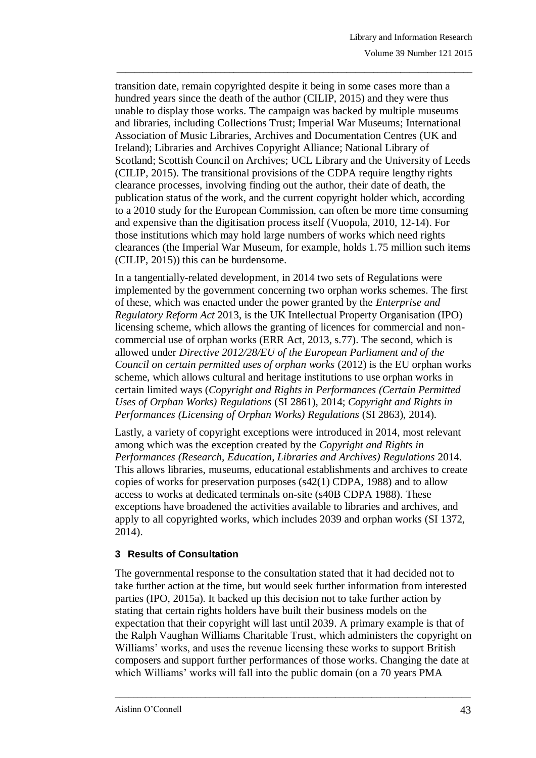transition date, remain copyrighted despite it being in some cases more than a hundred years since the death of the author (CILIP, 2015) and they were thus unable to display those works. The campaign was backed by multiple museums and libraries, including Collections Trust; Imperial War Museums; International Association of Music Libraries, Archives and Documentation Centres (UK and Ireland); Libraries and Archives Copyright Alliance; National Library of Scotland; Scottish Council on Archives; UCL Library and the University of Leeds (CILIP, 2015). The transitional provisions of the CDPA require lengthy rights clearance processes, involving finding out the author, their date of death, the publication status of the work, and the current copyright holder which, according to a 2010 study for the European Commission, can often be more time consuming and expensive than the digitisation process itself (Vuopola, 2010, 12-14). For those institutions which may hold large numbers of works which need rights clearances (the Imperial War Museum, for example, holds 1.75 million such items (CILIP, 2015)) this can be burdensome.

\_\_\_\_\_\_\_\_\_\_\_\_\_\_\_\_\_\_\_\_\_\_\_\_\_\_\_\_\_\_\_\_\_\_\_\_\_\_\_\_\_\_\_\_\_\_\_\_\_\_\_\_\_\_\_\_\_\_\_\_\_\_\_\_\_\_\_\_\_\_\_\_\_\_\_\_\_\_\_

In a tangentially-related development, in 2014 two sets of Regulations were implemented by the government concerning two orphan works schemes. The first of these, which was enacted under the power granted by the *Enterprise and Regulatory Reform Act* 2013, is the UK Intellectual Property Organisation (IPO) licensing scheme, which allows the granting of licences for commercial and noncommercial use of orphan works (ERR Act, 2013, s.77). The second, which is allowed under *Directive 2012/28/EU of the European Parliament and of the Council on certain permitted uses of orphan works* (2012) is the EU orphan works scheme, which allows cultural and heritage institutions to use orphan works in certain limited ways (*Copyright and Rights in Performances (Certain Permitted Uses of Orphan Works) Regulations* (SI 2861), 2014; *Copyright and Rights in Performances (Licensing of Orphan Works) Regulations* (SI 2863), 2014).

Lastly, a variety of copyright exceptions were introduced in 2014, most relevant among which was the exception created by the *Copyright and Rights in Performances (Research, Education, Libraries and Archives) Regulations* 2014. This allows libraries, museums, educational establishments and archives to create copies of works for preservation purposes (s42(1) CDPA, 1988) and to allow access to works at dedicated terminals on-site (s40B CDPA 1988). These exceptions have broadened the activities available to libraries and archives, and apply to all copyrighted works, which includes 2039 and orphan works (SI 1372, 2014).

# **3 Results of Consultation**

The governmental response to the consultation stated that it had decided not to take further action at the time, but would seek further information from interested parties (IPO, 2015a). It backed up this decision not to take further action by stating that certain rights holders have built their business models on the expectation that their copyright will last until 2039. A primary example is that of the Ralph Vaughan Williams Charitable Trust, which administers the copyright on Williams' works, and uses the revenue licensing these works to support British composers and support further performances of those works. Changing the date at which Williams' works will fall into the public domain (on a 70 years PMA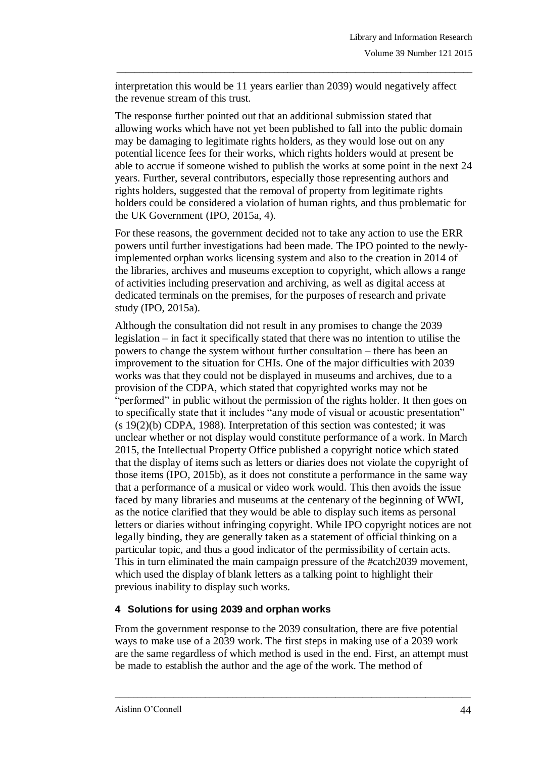interpretation this would be 11 years earlier than 2039) would negatively affect the revenue stream of this trust.

\_\_\_\_\_\_\_\_\_\_\_\_\_\_\_\_\_\_\_\_\_\_\_\_\_\_\_\_\_\_\_\_\_\_\_\_\_\_\_\_\_\_\_\_\_\_\_\_\_\_\_\_\_\_\_\_\_\_\_\_\_\_\_\_\_\_\_\_\_\_\_\_\_\_\_\_\_\_\_

The response further pointed out that an additional submission stated that allowing works which have not yet been published to fall into the public domain may be damaging to legitimate rights holders, as they would lose out on any potential licence fees for their works, which rights holders would at present be able to accrue if someone wished to publish the works at some point in the next 24 years. Further, several contributors, especially those representing authors and rights holders, suggested that the removal of property from legitimate rights holders could be considered a violation of human rights, and thus problematic for the UK Government (IPO, 2015a, 4).

For these reasons, the government decided not to take any action to use the ERR powers until further investigations had been made. The IPO pointed to the newlyimplemented orphan works licensing system and also to the creation in 2014 of the libraries, archives and museums exception to copyright, which allows a range of activities including preservation and archiving, as well as digital access at dedicated terminals on the premises, for the purposes of research and private study (IPO, 2015a).

Although the consultation did not result in any promises to change the 2039 legislation – in fact it specifically stated that there was no intention to utilise the powers to change the system without further consultation – there has been an improvement to the situation for CHIs. One of the major difficulties with 2039 works was that they could not be displayed in museums and archives, due to a provision of the CDPA, which stated that copyrighted works may not be "performed" in public without the permission of the rights holder. It then goes on to specifically state that it includes "any mode of visual or acoustic presentation" (s 19(2)(b) CDPA, 1988). Interpretation of this section was contested; it was unclear whether or not display would constitute performance of a work. In March 2015, the Intellectual Property Office published a copyright notice which stated that the display of items such as letters or diaries does not violate the copyright of those items (IPO, 2015b), as it does not constitute a performance in the same way that a performance of a musical or video work would. This then avoids the issue faced by many libraries and museums at the centenary of the beginning of WWI, as the notice clarified that they would be able to display such items as personal letters or diaries without infringing copyright. While IPO copyright notices are not legally binding, they are generally taken as a statement of official thinking on a particular topic, and thus a good indicator of the permissibility of certain acts. This in turn eliminated the main campaign pressure of the #catch2039 movement, which used the display of blank letters as a talking point to highlight their previous inability to display such works.

# **4 Solutions for using 2039 and orphan works**

From the government response to the 2039 consultation, there are five potential ways to make use of a 2039 work. The first steps in making use of a 2039 work are the same regardless of which method is used in the end. First, an attempt must be made to establish the author and the age of the work. The method of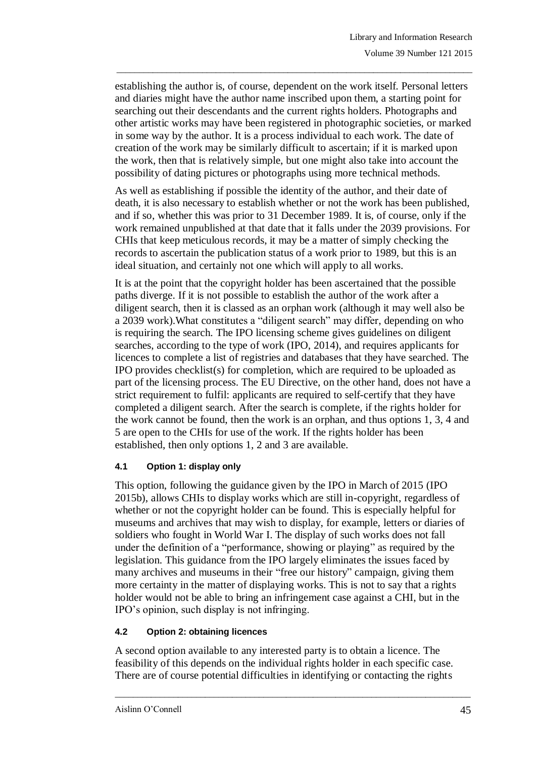establishing the author is, of course, dependent on the work itself. Personal letters and diaries might have the author name inscribed upon them, a starting point for searching out their descendants and the current rights holders. Photographs and other artistic works may have been registered in photographic societies, or marked in some way by the author. It is a process individual to each work. The date of creation of the work may be similarly difficult to ascertain; if it is marked upon the work, then that is relatively simple, but one might also take into account the possibility of dating pictures or photographs using more technical methods.

\_\_\_\_\_\_\_\_\_\_\_\_\_\_\_\_\_\_\_\_\_\_\_\_\_\_\_\_\_\_\_\_\_\_\_\_\_\_\_\_\_\_\_\_\_\_\_\_\_\_\_\_\_\_\_\_\_\_\_\_\_\_\_\_\_\_\_\_\_\_\_\_\_\_\_\_\_\_\_

As well as establishing if possible the identity of the author, and their date of death, it is also necessary to establish whether or not the work has been published, and if so, whether this was prior to 31 December 1989. It is, of course, only if the work remained unpublished at that date that it falls under the 2039 provisions. For CHIs that keep meticulous records, it may be a matter of simply checking the records to ascertain the publication status of a work prior to 1989, but this is an ideal situation, and certainly not one which will apply to all works.

It is at the point that the copyright holder has been ascertained that the possible paths diverge. If it is not possible to establish the author of the work after a diligent search, then it is classed as an orphan work (although it may well also be a 2039 work).What constitutes a "diligent search" may differ, depending on who is requiring the search. The IPO licensing scheme gives guidelines on diligent searches, according to the type of work (IPO, 2014), and requires applicants for licences to complete a list of registries and databases that they have searched. The IPO provides checklist(s) for completion, which are required to be uploaded as part of the licensing process. The EU Directive, on the other hand, does not have a strict requirement to fulfil: applicants are required to self-certify that they have completed a diligent search. After the search is complete, if the rights holder for the work cannot be found, then the work is an orphan, and thus options 1, 3, 4 and 5 are open to the CHIs for use of the work. If the rights holder has been established, then only options 1, 2 and 3 are available.

# **4.1 Option 1: display only**

This option, following the guidance given by the IPO in March of 2015 (IPO 2015b), allows CHIs to display works which are still in-copyright, regardless of whether or not the copyright holder can be found. This is especially helpful for museums and archives that may wish to display, for example, letters or diaries of soldiers who fought in World War I. The display of such works does not fall under the definition of a "performance, showing or playing" as required by the legislation. This guidance from the IPO largely eliminates the issues faced by many archives and museums in their "free our history" campaign, giving them more certainty in the matter of displaying works. This is not to say that a rights holder would not be able to bring an infringement case against a CHI, but in the IPO"s opinion, such display is not infringing.

# **4.2 Option 2: obtaining licences**

A second option available to any interested party is to obtain a licence. The feasibility of this depends on the individual rights holder in each specific case. There are of course potential difficulties in identifying or contacting the rights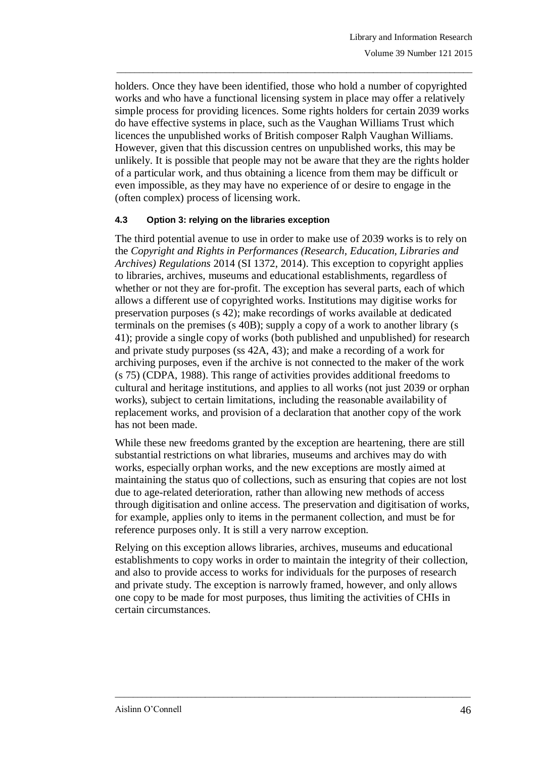holders. Once they have been identified, those who hold a number of copyrighted works and who have a functional licensing system in place may offer a relatively simple process for providing licences. Some rights holders for certain 2039 works do have effective systems in place, such as the Vaughan Williams Trust which licences the unpublished works of British composer Ralph Vaughan Williams. However, given that this discussion centres on unpublished works, this may be unlikely. It is possible that people may not be aware that they are the rights holder of a particular work, and thus obtaining a licence from them may be difficult or even impossible, as they may have no experience of or desire to engage in the (often complex) process of licensing work.

\_\_\_\_\_\_\_\_\_\_\_\_\_\_\_\_\_\_\_\_\_\_\_\_\_\_\_\_\_\_\_\_\_\_\_\_\_\_\_\_\_\_\_\_\_\_\_\_\_\_\_\_\_\_\_\_\_\_\_\_\_\_\_\_\_\_\_\_\_\_\_\_\_\_\_\_\_\_\_

#### **4.3 Option 3: relying on the libraries exception**

The third potential avenue to use in order to make use of 2039 works is to rely on the *Copyright and Rights in Performances (Research, Education, Libraries and Archives) Regulations* 2014 (SI 1372, 2014). This exception to copyright applies to libraries, archives, museums and educational establishments, regardless of whether or not they are for-profit. The exception has several parts, each of which allows a different use of copyrighted works. Institutions may digitise works for preservation purposes (s 42); make recordings of works available at dedicated terminals on the premises (s 40B); supply a copy of a work to another library (s 41); provide a single copy of works (both published and unpublished) for research and private study purposes (ss 42A, 43); and make a recording of a work for archiving purposes, even if the archive is not connected to the maker of the work (s 75) (CDPA, 1988). This range of activities provides additional freedoms to cultural and heritage institutions, and applies to all works (not just 2039 or orphan works), subject to certain limitations, including the reasonable availability of replacement works, and provision of a declaration that another copy of the work has not been made.

While these new freedoms granted by the exception are heartening, there are still substantial restrictions on what libraries, museums and archives may do with works, especially orphan works, and the new exceptions are mostly aimed at maintaining the status quo of collections, such as ensuring that copies are not lost due to age-related deterioration, rather than allowing new methods of access through digitisation and online access. The preservation and digitisation of works, for example, applies only to items in the permanent collection, and must be for reference purposes only. It is still a very narrow exception.

Relying on this exception allows libraries, archives, museums and educational establishments to copy works in order to maintain the integrity of their collection, and also to provide access to works for individuals for the purposes of research and private study. The exception is narrowly framed, however, and only allows one copy to be made for most purposes, thus limiting the activities of CHIs in certain circumstances.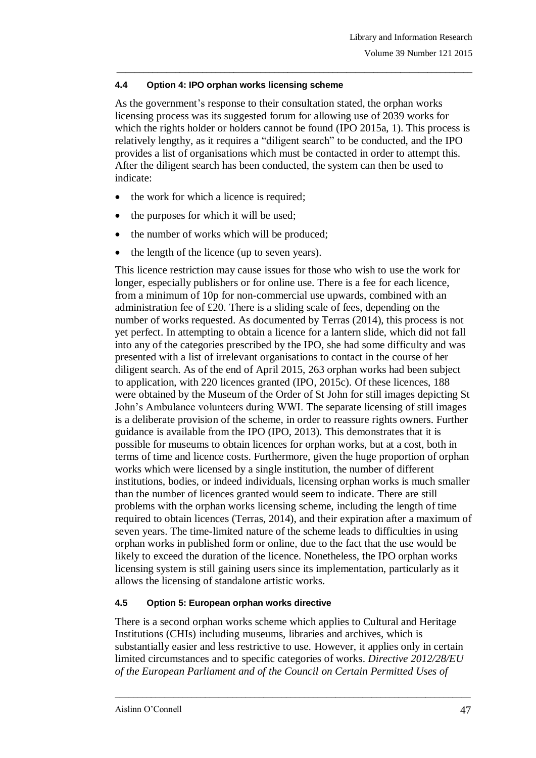# **4.4 Option 4: IPO orphan works licensing scheme**

As the government's response to their consultation stated, the orphan works licensing process was its suggested forum for allowing use of 2039 works for which the rights holder or holders cannot be found (IPO 2015a, 1). This process is relatively lengthy, as it requires a "diligent search" to be conducted, and the IPO provides a list of organisations which must be contacted in order to attempt this. After the diligent search has been conducted, the system can then be used to indicate:

\_\_\_\_\_\_\_\_\_\_\_\_\_\_\_\_\_\_\_\_\_\_\_\_\_\_\_\_\_\_\_\_\_\_\_\_\_\_\_\_\_\_\_\_\_\_\_\_\_\_\_\_\_\_\_\_\_\_\_\_\_\_\_\_\_\_\_\_\_\_\_\_\_\_\_\_\_\_\_

- the work for which a licence is required;
- the purposes for which it will be used;
- the number of works which will be produced;
- the length of the licence (up to seven years).

This licence restriction may cause issues for those who wish to use the work for longer, especially publishers or for online use. There is a fee for each licence, from a minimum of 10p for non-commercial use upwards, combined with an administration fee of £20. There is a sliding scale of fees, depending on the number of works requested. As documented by Terras (2014), this process is not yet perfect. In attempting to obtain a licence for a lantern slide, which did not fall into any of the categories prescribed by the IPO, she had some difficulty and was presented with a list of irrelevant organisations to contact in the course of her diligent search. As of the end of April 2015, 263 orphan works had been subject to application, with 220 licences granted (IPO, 2015c). Of these licences, 188 were obtained by the Museum of the Order of St John for still images depicting St John"s Ambulance volunteers during WWI. The separate licensing of still images is a deliberate provision of the scheme, in order to reassure rights owners. Further guidance is available from the IPO (IPO, 2013). This demonstrates that it is possible for museums to obtain licences for orphan works, but at a cost, both in terms of time and licence costs. Furthermore, given the huge proportion of orphan works which were licensed by a single institution, the number of different institutions, bodies, or indeed individuals, licensing orphan works is much smaller than the number of licences granted would seem to indicate. There are still problems with the orphan works licensing scheme, including the length of time required to obtain licences (Terras, 2014), and their expiration after a maximum of seven years. The time-limited nature of the scheme leads to difficulties in using orphan works in published form or online, due to the fact that the use would be likely to exceed the duration of the licence. Nonetheless, the IPO orphan works licensing system is still gaining users since its implementation, particularly as it allows the licensing of standalone artistic works.

# **4.5 Option 5: European orphan works directive**

There is a second orphan works scheme which applies to Cultural and Heritage Institutions (CHIs) including museums, libraries and archives, which is substantially easier and less restrictive to use. However, it applies only in certain limited circumstances and to specific categories of works. *Directive 2012/28/EU of the European Parliament and of the Council on Certain Permitted Uses of*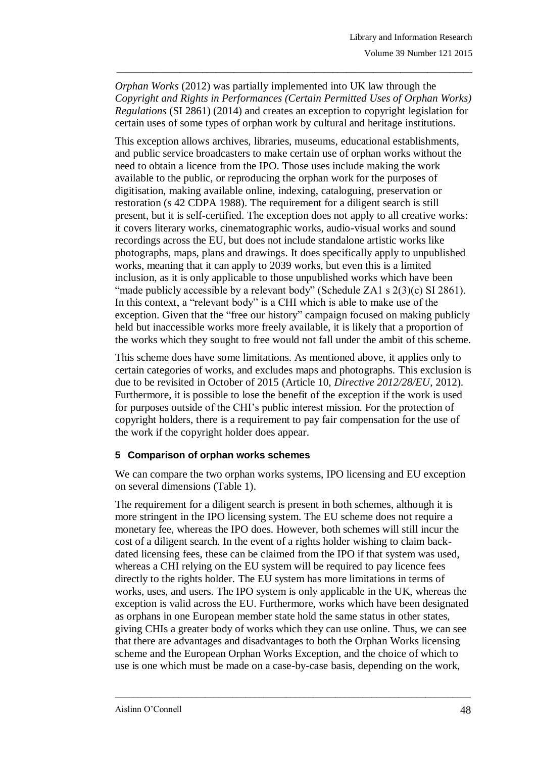*Orphan Works* (2012) was partially implemented into UK law through the *Copyright and Rights in Performances (Certain Permitted Uses of Orphan Works) Regulations* (SI 2861) (2014) and creates an exception to copyright legislation for certain uses of some types of orphan work by cultural and heritage institutions.

\_\_\_\_\_\_\_\_\_\_\_\_\_\_\_\_\_\_\_\_\_\_\_\_\_\_\_\_\_\_\_\_\_\_\_\_\_\_\_\_\_\_\_\_\_\_\_\_\_\_\_\_\_\_\_\_\_\_\_\_\_\_\_\_\_\_\_\_\_\_\_\_\_\_\_\_\_\_\_

This exception allows archives, libraries, museums, educational establishments, and public service broadcasters to make certain use of orphan works without the need to obtain a licence from the IPO. Those uses include making the work available to the public, or reproducing the orphan work for the purposes of digitisation, making available online, indexing, cataloguing, preservation or restoration (s 42 CDPA 1988). The requirement for a diligent search is still present, but it is self-certified. The exception does not apply to all creative works: it covers literary works, cinematographic works, audio-visual works and sound recordings across the EU, but does not include standalone artistic works like photographs, maps, plans and drawings. It does specifically apply to unpublished works, meaning that it can apply to 2039 works, but even this is a limited inclusion, as it is only applicable to those unpublished works which have been "made publicly accessible by a relevant body" (Schedule ZA1 s  $2(3)(c)$  SI 2861). In this context, a "relevant body" is a CHI which is able to make use of the exception. Given that the "free our history" campaign focused on making publicly held but inaccessible works more freely available, it is likely that a proportion of the works which they sought to free would not fall under the ambit of this scheme.

This scheme does have some limitations. As mentioned above, it applies only to certain categories of works, and excludes maps and photographs. This exclusion is due to be revisited in October of 2015 (Article 10, *Directive 2012/28/EU*, 2012). Furthermore, it is possible to lose the benefit of the exception if the work is used for purposes outside of the CHI"s public interest mission. For the protection of copyright holders, there is a requirement to pay fair compensation for the use of the work if the copyright holder does appear.

# **5 Comparison of orphan works schemes**

We can compare the two orphan works systems, IPO licensing and EU exception on several dimensions (Table 1).

The requirement for a diligent search is present in both schemes, although it is more stringent in the IPO licensing system. The EU scheme does not require a monetary fee, whereas the IPO does. However, both schemes will still incur the cost of a diligent search. In the event of a rights holder wishing to claim backdated licensing fees, these can be claimed from the IPO if that system was used, whereas a CHI relying on the EU system will be required to pay licence fees directly to the rights holder. The EU system has more limitations in terms of works, uses, and users. The IPO system is only applicable in the UK, whereas the exception is valid across the EU. Furthermore, works which have been designated as orphans in one European member state hold the same status in other states, giving CHIs a greater body of works which they can use online. Thus, we can see that there are advantages and disadvantages to both the Orphan Works licensing scheme and the European Orphan Works Exception, and the choice of which to use is one which must be made on a case-by-case basis, depending on the work,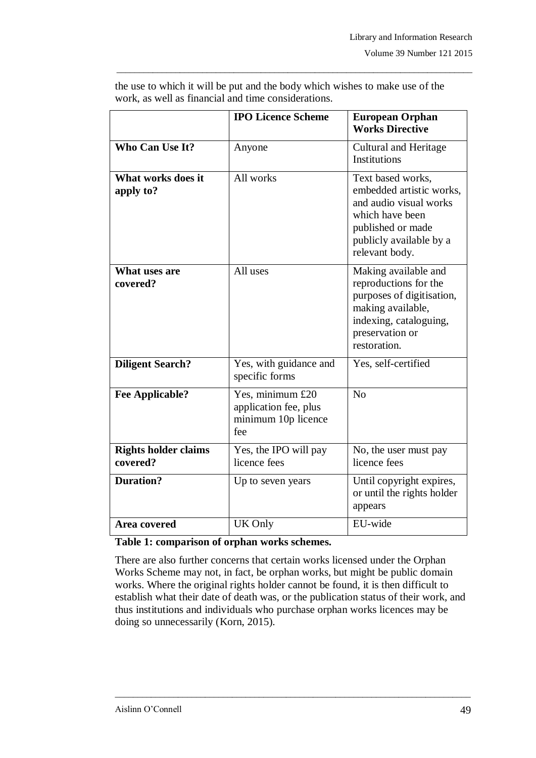|                                         | <b>IPO Licence Scheme</b>                                               | <b>European Orphan</b><br><b>Works Directive</b>                                                                                                             |
|-----------------------------------------|-------------------------------------------------------------------------|--------------------------------------------------------------------------------------------------------------------------------------------------------------|
| Who Can Use It?                         | Anyone                                                                  | <b>Cultural and Heritage</b><br><b>Institutions</b>                                                                                                          |
| What works does it<br>apply to?         | All works                                                               | Text based works,<br>embedded artistic works.<br>and audio visual works<br>which have been<br>published or made<br>publicly available by a<br>relevant body. |
| What uses are<br>covered?               | All uses                                                                | Making available and<br>reproductions for the<br>purposes of digitisation,<br>making available,<br>indexing, cataloguing,<br>preservation or<br>restoration. |
| <b>Diligent Search?</b>                 | Yes, with guidance and<br>specific forms                                | Yes, self-certified                                                                                                                                          |
| <b>Fee Applicable?</b>                  | Yes, minimum £20<br>application fee, plus<br>minimum 10p licence<br>fee | N <sub>o</sub>                                                                                                                                               |
| <b>Rights holder claims</b><br>covered? | Yes, the IPO will pay<br>licence fees                                   | No, the user must pay<br>licence fees                                                                                                                        |
| <b>Duration?</b>                        | Up to seven years                                                       | Until copyright expires,<br>or until the rights holder<br>appears                                                                                            |
| <b>Area covered</b>                     | UK Only                                                                 | EU-wide                                                                                                                                                      |

the use to which it will be put and the body which wishes to make use of the work, as well as financial and time considerations.

\_\_\_\_\_\_\_\_\_\_\_\_\_\_\_\_\_\_\_\_\_\_\_\_\_\_\_\_\_\_\_\_\_\_\_\_\_\_\_\_\_\_\_\_\_\_\_\_\_\_\_\_\_\_\_\_\_\_\_\_\_\_\_\_\_\_\_\_\_\_\_\_\_\_\_\_\_\_\_

#### **Table 1: comparison of orphan works schemes.**

There are also further concerns that certain works licensed under the Orphan Works Scheme may not, in fact, be orphan works, but might be public domain works. Where the original rights holder cannot be found, it is then difficult to establish what their date of death was, or the publication status of their work, and thus institutions and individuals who purchase orphan works licences may be doing so unnecessarily (Korn, 2015).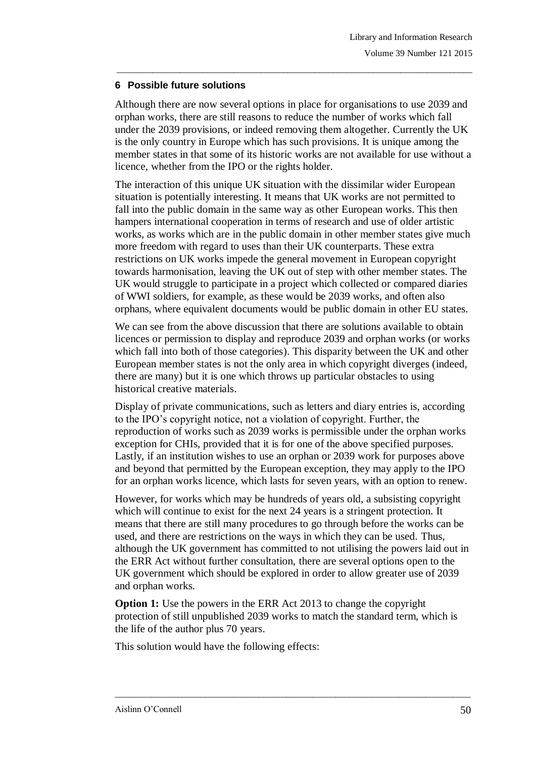# **6 Possible future solutions**

Although there are now several options in place for organisations to use 2039 and orphan works, there are still reasons to reduce the number of works which fall under the 2039 provisions, or indeed removing them altogether. Currently the UK is the only country in Europe which has such provisions. It is unique among the member states in that some of its historic works are not available for use without a licence, whether from the IPO or the rights holder.

\_\_\_\_\_\_\_\_\_\_\_\_\_\_\_\_\_\_\_\_\_\_\_\_\_\_\_\_\_\_\_\_\_\_\_\_\_\_\_\_\_\_\_\_\_\_\_\_\_\_\_\_\_\_\_\_\_\_\_\_\_\_\_\_\_\_\_\_\_\_\_\_\_\_\_\_\_\_\_

The interaction of this unique UK situation with the dissimilar wider European situation is potentially interesting. It means that UK works are not permitted to fall into the public domain in the same way as other European works. This then hampers international cooperation in terms of research and use of older artistic works, as works which are in the public domain in other member states give much more freedom with regard to uses than their UK counterparts. These extra restrictions on UK works impede the general movement in European copyright towards harmonisation, leaving the UK out of step with other member states. The UK would struggle to participate in a project which collected or compared diaries of WWI soldiers, for example, as these would be 2039 works, and often also orphans, where equivalent documents would be public domain in other EU states.

We can see from the above discussion that there are solutions available to obtain licences or permission to display and reproduce 2039 and orphan works (or works which fall into both of those categories). This disparity between the UK and other European member states is not the only area in which copyright diverges (indeed, there are many) but it is one which throws up particular obstacles to using historical creative materials.

Display of private communications, such as letters and diary entries is, according to the IPO"s copyright notice, not a violation of copyright. Further, the reproduction of works such as 2039 works is permissible under the orphan works exception for CHIs, provided that it is for one of the above specified purposes. Lastly, if an institution wishes to use an orphan or 2039 work for purposes above and beyond that permitted by the European exception, they may apply to the IPO for an orphan works licence, which lasts for seven years, with an option to renew.

However, for works which may be hundreds of years old, a subsisting copyright which will continue to exist for the next 24 years is a stringent protection. It means that there are still many procedures to go through before the works can be used, and there are restrictions on the ways in which they can be used. Thus, although the UK government has committed to not utilising the powers laid out in the ERR Act without further consultation, there are several options open to the UK government which should be explored in order to allow greater use of 2039 and orphan works.

**Option 1:** Use the powers in the ERR Act 2013 to change the copyright protection of still unpublished 2039 works to match the standard term, which is the life of the author plus 70 years.

\_\_\_\_\_\_\_\_\_\_\_\_\_\_\_\_\_\_\_\_\_\_\_\_\_\_\_\_\_\_\_\_\_\_\_\_\_\_\_\_\_\_\_\_\_\_\_\_\_\_\_\_\_\_\_\_\_\_\_\_\_\_\_\_\_\_\_\_\_\_\_\_\_\_\_\_\_\_\_

This solution would have the following effects: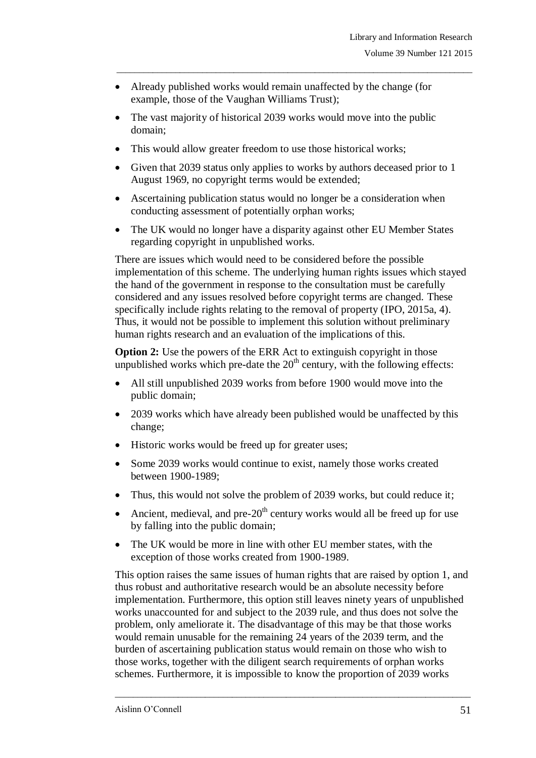Already published works would remain unaffected by the change (for example, those of the Vaughan Williams Trust);

\_\_\_\_\_\_\_\_\_\_\_\_\_\_\_\_\_\_\_\_\_\_\_\_\_\_\_\_\_\_\_\_\_\_\_\_\_\_\_\_\_\_\_\_\_\_\_\_\_\_\_\_\_\_\_\_\_\_\_\_\_\_\_\_\_\_\_\_\_\_\_\_\_\_\_\_\_\_\_

- The vast majority of historical 2039 works would move into the public domain;
- This would allow greater freedom to use those historical works;
- Given that 2039 status only applies to works by authors deceased prior to 1 August 1969, no copyright terms would be extended;
- Ascertaining publication status would no longer be a consideration when conducting assessment of potentially orphan works;
- The UK would no longer have a disparity against other EU Member States regarding copyright in unpublished works.

There are issues which would need to be considered before the possible implementation of this scheme. The underlying human rights issues which stayed the hand of the government in response to the consultation must be carefully considered and any issues resolved before copyright terms are changed. These specifically include rights relating to the removal of property (IPO, 2015a, 4). Thus, it would not be possible to implement this solution without preliminary human rights research and an evaluation of the implications of this.

**Option 2:** Use the powers of the ERR Act to extinguish copyright in those unpublished works which pre-date the  $20<sup>th</sup>$  century, with the following effects:

- All still unpublished 2039 works from before 1900 would move into the public domain;
- 2039 works which have already been published would be unaffected by this change;
- Historic works would be freed up for greater uses;
- Some 2039 works would continue to exist, namely those works created between 1900-1989;
- Thus, this would not solve the problem of 2039 works, but could reduce it;
- Ancient, medieval, and pre- $20<sup>th</sup>$  century works would all be freed up for use by falling into the public domain;
- The UK would be more in line with other EU member states, with the exception of those works created from 1900-1989.

This option raises the same issues of human rights that are raised by option 1, and thus robust and authoritative research would be an absolute necessity before implementation. Furthermore, this option still leaves ninety years of unpublished works unaccounted for and subject to the 2039 rule, and thus does not solve the problem, only ameliorate it. The disadvantage of this may be that those works would remain unusable for the remaining 24 years of the 2039 term, and the burden of ascertaining publication status would remain on those who wish to those works, together with the diligent search requirements of orphan works schemes. Furthermore, it is impossible to know the proportion of 2039 works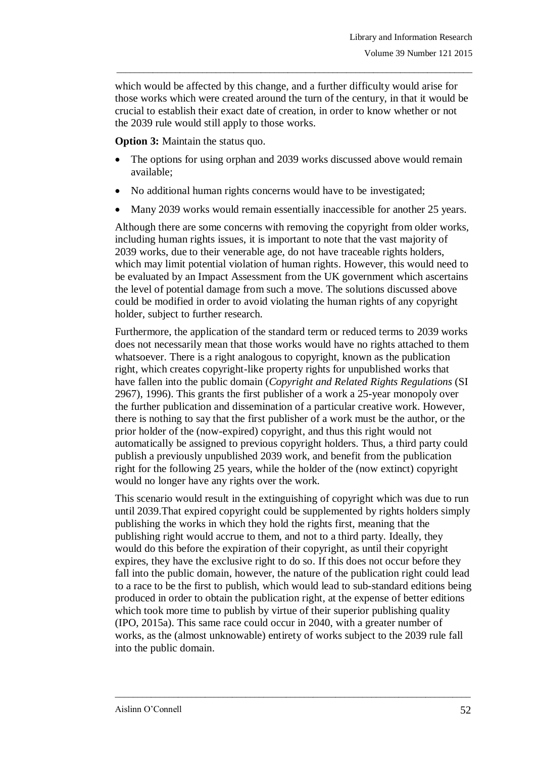which would be affected by this change, and a further difficulty would arise for those works which were created around the turn of the century, in that it would be crucial to establish their exact date of creation, in order to know whether or not the 2039 rule would still apply to those works.

\_\_\_\_\_\_\_\_\_\_\_\_\_\_\_\_\_\_\_\_\_\_\_\_\_\_\_\_\_\_\_\_\_\_\_\_\_\_\_\_\_\_\_\_\_\_\_\_\_\_\_\_\_\_\_\_\_\_\_\_\_\_\_\_\_\_\_\_\_\_\_\_\_\_\_\_\_\_\_

**Option 3:** Maintain the status quo.

- The options for using orphan and 2039 works discussed above would remain available;
- No additional human rights concerns would have to be investigated;
- Many 2039 works would remain essentially inaccessible for another 25 years.

Although there are some concerns with removing the copyright from older works, including human rights issues, it is important to note that the vast majority of 2039 works, due to their venerable age, do not have traceable rights holders, which may limit potential violation of human rights. However, this would need to be evaluated by an Impact Assessment from the UK government which ascertains the level of potential damage from such a move. The solutions discussed above could be modified in order to avoid violating the human rights of any copyright holder, subject to further research.

Furthermore, the application of the standard term or reduced terms to 2039 works does not necessarily mean that those works would have no rights attached to them whatsoever. There is a right analogous to copyright, known as the publication right, which creates copyright-like property rights for unpublished works that have fallen into the public domain (*Copyright and Related Rights Regulations* (SI 2967), 1996). This grants the first publisher of a work a 25-year monopoly over the further publication and dissemination of a particular creative work. However, there is nothing to say that the first publisher of a work must be the author, or the prior holder of the (now-expired) copyright, and thus this right would not automatically be assigned to previous copyright holders. Thus, a third party could publish a previously unpublished 2039 work, and benefit from the publication right for the following 25 years, while the holder of the (now extinct) copyright would no longer have any rights over the work.

This scenario would result in the extinguishing of copyright which was due to run until 2039.That expired copyright could be supplemented by rights holders simply publishing the works in which they hold the rights first, meaning that the publishing right would accrue to them, and not to a third party. Ideally, they would do this before the expiration of their copyright, as until their copyright expires, they have the exclusive right to do so. If this does not occur before they fall into the public domain, however, the nature of the publication right could lead to a race to be the first to publish, which would lead to sub-standard editions being produced in order to obtain the publication right, at the expense of better editions which took more time to publish by virtue of their superior publishing quality (IPO, 2015a). This same race could occur in 2040, with a greater number of works, as the (almost unknowable) entirety of works subject to the 2039 rule fall into the public domain.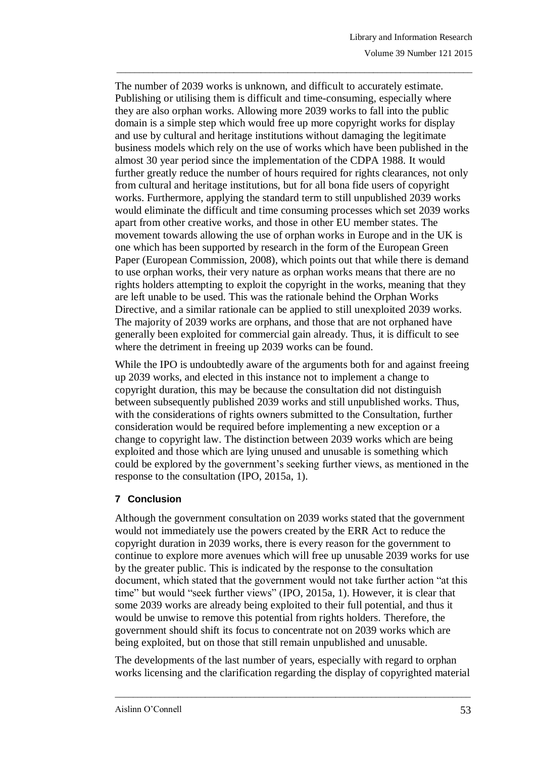The number of 2039 works is unknown, and difficult to accurately estimate. Publishing or utilising them is difficult and time-consuming, especially where they are also orphan works. Allowing more 2039 works to fall into the public domain is a simple step which would free up more copyright works for display and use by cultural and heritage institutions without damaging the legitimate business models which rely on the use of works which have been published in the almost 30 year period since the implementation of the CDPA 1988. It would further greatly reduce the number of hours required for rights clearances, not only from cultural and heritage institutions, but for all bona fide users of copyright works. Furthermore, applying the standard term to still unpublished 2039 works would eliminate the difficult and time consuming processes which set 2039 works apart from other creative works, and those in other EU member states. The movement towards allowing the use of orphan works in Europe and in the UK is one which has been supported by research in the form of the European Green Paper (European Commission, 2008), which points out that while there is demand to use orphan works, their very nature as orphan works means that there are no rights holders attempting to exploit the copyright in the works, meaning that they are left unable to be used. This was the rationale behind the Orphan Works Directive, and a similar rationale can be applied to still unexploited 2039 works. The majority of 2039 works are orphans, and those that are not orphaned have generally been exploited for commercial gain already. Thus, it is difficult to see where the detriment in freeing up 2039 works can be found.

\_\_\_\_\_\_\_\_\_\_\_\_\_\_\_\_\_\_\_\_\_\_\_\_\_\_\_\_\_\_\_\_\_\_\_\_\_\_\_\_\_\_\_\_\_\_\_\_\_\_\_\_\_\_\_\_\_\_\_\_\_\_\_\_\_\_\_\_\_\_\_\_\_\_\_\_\_\_\_

While the IPO is undoubtedly aware of the arguments both for and against freeing up 2039 works, and elected in this instance not to implement a change to copyright duration, this may be because the consultation did not distinguish between subsequently published 2039 works and still unpublished works. Thus, with the considerations of rights owners submitted to the Consultation, further consideration would be required before implementing a new exception or a change to copyright law. The distinction between 2039 works which are being exploited and those which are lying unused and unusable is something which could be explored by the government's seeking further views, as mentioned in the response to the consultation (IPO, 2015a, 1).

# **7 Conclusion**

Although the government consultation on 2039 works stated that the government would not immediately use the powers created by the ERR Act to reduce the copyright duration in 2039 works, there is every reason for the government to continue to explore more avenues which will free up unusable 2039 works for use by the greater public. This is indicated by the response to the consultation document, which stated that the government would not take further action "at this time" but would "seek further views" (IPO, 2015a, 1). However, it is clear that some 2039 works are already being exploited to their full potential, and thus it would be unwise to remove this potential from rights holders. Therefore, the government should shift its focus to concentrate not on 2039 works which are being exploited, but on those that still remain unpublished and unusable.

The developments of the last number of years, especially with regard to orphan works licensing and the clarification regarding the display of copyrighted material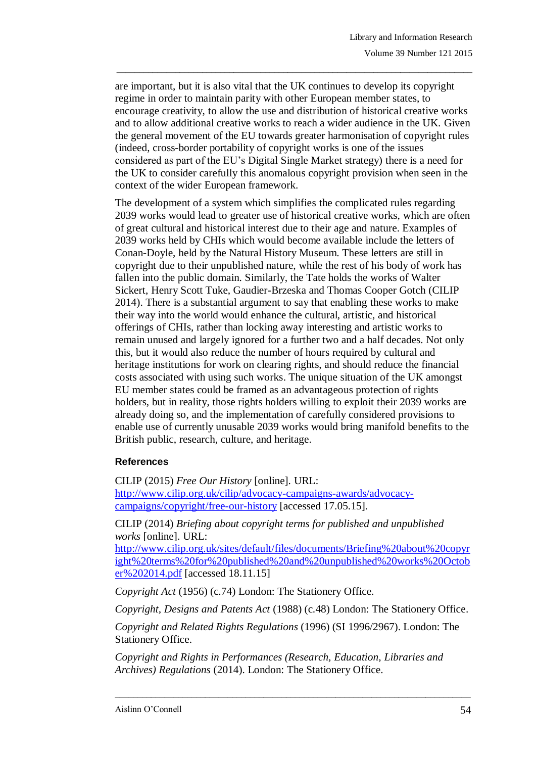are important, but it is also vital that the UK continues to develop its copyright regime in order to maintain parity with other European member states, to encourage creativity, to allow the use and distribution of historical creative works and to allow additional creative works to reach a wider audience in the UK. Given the general movement of the EU towards greater harmonisation of copyright rules (indeed, cross-border portability of copyright works is one of the issues considered as part of the EU"s Digital Single Market strategy) there is a need for the UK to consider carefully this anomalous copyright provision when seen in the context of the wider European framework.

\_\_\_\_\_\_\_\_\_\_\_\_\_\_\_\_\_\_\_\_\_\_\_\_\_\_\_\_\_\_\_\_\_\_\_\_\_\_\_\_\_\_\_\_\_\_\_\_\_\_\_\_\_\_\_\_\_\_\_\_\_\_\_\_\_\_\_\_\_\_\_\_\_\_\_\_\_\_\_

The development of a system which simplifies the complicated rules regarding 2039 works would lead to greater use of historical creative works, which are often of great cultural and historical interest due to their age and nature. Examples of 2039 works held by CHIs which would become available include the letters of Conan-Doyle, held by the Natural History Museum. These letters are still in copyright due to their unpublished nature, while the rest of his body of work has fallen into the public domain. Similarly, the Tate holds the works of Walter Sickert, Henry Scott Tuke, Gaudier-Brzeska and Thomas Cooper Gotch (CILIP 2014). There is a substantial argument to say that enabling these works to make their way into the world would enhance the cultural, artistic, and historical offerings of CHIs, rather than locking away interesting and artistic works to remain unused and largely ignored for a further two and a half decades. Not only this, but it would also reduce the number of hours required by cultural and heritage institutions for work on clearing rights, and should reduce the financial costs associated with using such works. The unique situation of the UK amongst EU member states could be framed as an advantageous protection of rights holders, but in reality, those rights holders willing to exploit their 2039 works are already doing so, and the implementation of carefully considered provisions to enable use of currently unusable 2039 works would bring manifold benefits to the British public, research, culture, and heritage.

# **References**

CILIP (2015) *Free Our History* [online]*.* URL: [http://www.cilip.org.uk/cilip/advocacy-campaigns-awards/advocacy](http://www.cilip.org.uk/cilip/advocacy-campaigns-awards/advocacy-campaigns/copyright/free-our-history)[campaigns/copyright/free-our-history](http://www.cilip.org.uk/cilip/advocacy-campaigns-awards/advocacy-campaigns/copyright/free-our-history) [accessed 17.05.15].

CILIP (2014) *Briefing about copyright terms for published and unpublished works* [online]. URL:

[http://www.cilip.org.uk/sites/default/files/documents/Briefing%20about%20copyr](http://www.cilip.org.uk/sites/default/files/documents/Briefing%20about%20copyright%20terms%20for%20published%20and%20unpublished%20works%20October%202014.pdf) [ight%20terms%20for%20published%20and%20unpublished%20works%20Octob](http://www.cilip.org.uk/sites/default/files/documents/Briefing%20about%20copyright%20terms%20for%20published%20and%20unpublished%20works%20October%202014.pdf) [er%202014.pdf](http://www.cilip.org.uk/sites/default/files/documents/Briefing%20about%20copyright%20terms%20for%20published%20and%20unpublished%20works%20October%202014.pdf) [accessed 18.11.15]

*Copyright Act* (1956) (c.74) London: The Stationery Office.

*Copyright, Designs and Patents Act* (1988) (c.48) London: The Stationery Office.

*Copyright and Related Rights Regulations* (1996) (SI 1996/2967). London: The Stationery Office.

\_\_\_\_\_\_\_\_\_\_\_\_\_\_\_\_\_\_\_\_\_\_\_\_\_\_\_\_\_\_\_\_\_\_\_\_\_\_\_\_\_\_\_\_\_\_\_\_\_\_\_\_\_\_\_\_\_\_\_\_\_\_\_\_\_\_\_\_\_\_\_\_\_\_\_\_\_\_\_

*Copyright and Rights in Performances (Research, Education, Libraries and Archives) Regulations* (2014). London: The Stationery Office.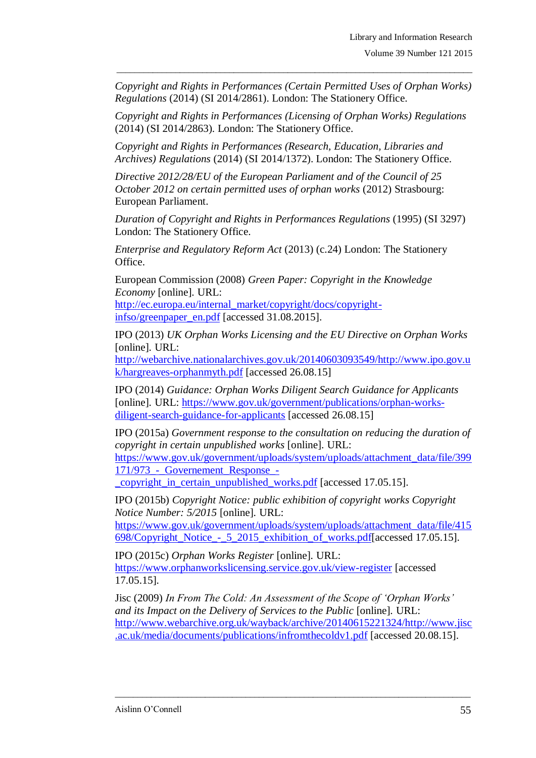*Copyright and Rights in Performances (Certain Permitted Uses of Orphan Works) Regulations* (2014) (SI 2014/2861). London: The Stationery Office.

\_\_\_\_\_\_\_\_\_\_\_\_\_\_\_\_\_\_\_\_\_\_\_\_\_\_\_\_\_\_\_\_\_\_\_\_\_\_\_\_\_\_\_\_\_\_\_\_\_\_\_\_\_\_\_\_\_\_\_\_\_\_\_\_\_\_\_\_\_\_\_\_\_\_\_\_\_\_\_

*Copyright and Rights in Performances (Licensing of Orphan Works) Regulations*  (2014) (SI 2014/2863). London: The Stationery Office.

*Copyright and Rights in Performances (Research, Education, Libraries and Archives) Regulations* (2014) (SI 2014/1372). London: The Stationery Office.

*Directive 2012/28/EU of the European Parliament and of the Council of 25 October 2012 on certain permitted uses of orphan works* (2012) Strasbourg: European Parliament.

*Duration of Copyright and Rights in Performances Regulations* (1995) (SI 3297) London: The Stationery Office.

*Enterprise and Regulatory Reform Act* (2013) (c.24) London: The Stationery Office.

European Commission (2008) *Green Paper: Copyright in the Knowledge Economy* [online]*.* URL:

[http://ec.europa.eu/internal\\_market/copyright/docs/copyright](http://ec.europa.eu/internal_market/copyright/docs/copyright-infso/greenpaper_en.pdf)[infso/greenpaper\\_en.pdf](http://ec.europa.eu/internal_market/copyright/docs/copyright-infso/greenpaper_en.pdf) [accessed 31.08.2015].

IPO (2013) *UK Orphan Works Licensing and the EU Directive on Orphan Works* [online]*.* URL:

[http://webarchive.nationalarchives.gov.uk/20140603093549/http://www.ipo.gov.u](http://webarchive.nationalarchives.gov.uk/20140603093549/http:/www.ipo.gov.uk/hargreaves-orphanmyth.pdf) [k/hargreaves-orphanmyth.pdf](http://webarchive.nationalarchives.gov.uk/20140603093549/http:/www.ipo.gov.uk/hargreaves-orphanmyth.pdf) [accessed 26.08.15]

IPO (2014) *Guidance: Orphan Works Diligent Search Guidance for Applicants* [online]*.* URL: [https://www.gov.uk/government/publications/orphan-works](https://www.gov.uk/government/publications/orphan-works-diligent-search-guidance-for-applicants)[diligent-search-guidance-for-applicants](https://www.gov.uk/government/publications/orphan-works-diligent-search-guidance-for-applicants) [accessed 26.08.15]

IPO (2015a) *Government response to the consultation on reducing the duration of copyright in certain unpublished works* [online]*.* URL: [https://www.gov.uk/government/uploads/system/uploads/attachment\\_data/file/399](https://www.gov.uk/government/uploads/system/uploads/attachment_data/file/399171/973_-_Governement_Response_-_copyright_in_certain_unpublished_works.pdf) [171/973\\_-\\_Governement\\_Response\\_-](https://www.gov.uk/government/uploads/system/uploads/attachment_data/file/399171/973_-_Governement_Response_-_copyright_in_certain_unpublished_works.pdf)

[\\_copyright\\_in\\_certain\\_unpublished\\_works.pdf](https://www.gov.uk/government/uploads/system/uploads/attachment_data/file/399171/973_-_Governement_Response_-_copyright_in_certain_unpublished_works.pdf) [accessed 17.05.15].

IPO (2015b) *Copyright Notice: public exhibition of copyright works Copyright Notice Number: 5/2015* [online]*.* URL:

[https://www.gov.uk/government/uploads/system/uploads/attachment\\_data/file/415](https://www.gov.uk/government/uploads/system/uploads/attachment_data/file/415698/Copyright_Notice_-_5_2015_exhibition_of_works.pdf) 698/Copyright\_Notice - 5\_2015\_exhibition\_of\_works.pdf[accessed 17.05.15].

IPO (2015c) *Orphan Works Register* [online]*.* URL: <https://www.orphanworkslicensing.service.gov.uk/view-register> [accessed 17.05.15].

Jisc (2009) *In From The Cold: An Assessment of the Scope of 'Orphan Works' and its Impact on the Delivery of Services to the Public* [online]*.* URL: [http://www.webarchive.org.uk/wayback/archive/20140615221324/http://www.jisc](http://www.webarchive.org.uk/wayback/archive/20140615221324/http:/www.jisc.ac.uk/media/documents/publications/infromthecoldv1.pdf) [.ac.uk/media/documents/publications/infromthecoldv1.pdf](http://www.webarchive.org.uk/wayback/archive/20140615221324/http:/www.jisc.ac.uk/media/documents/publications/infromthecoldv1.pdf) [accessed 20.08.15].